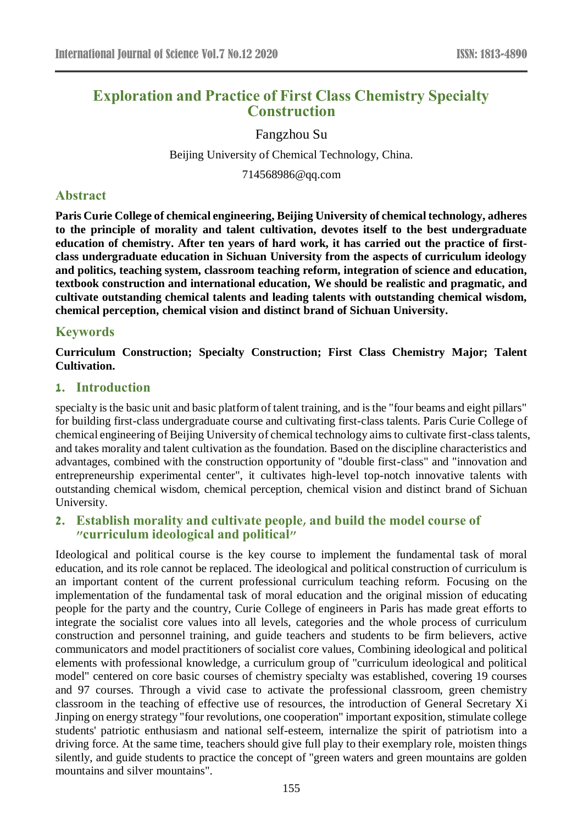# **Exploration and Practice of First Class Chemistry Specialty Construction**

#### Fangzhou Su

Beijing University of Chemical Technology, China.

714568986@qq.com

### **Abstract**

**Paris Curie College of chemical engineering, Beijing University of chemical technology, adheres to the principle of morality and talent cultivation, devotes itself to the best undergraduate education of chemistry. After ten years of hard work, it has carried out the practice of firstclass undergraduate education in Sichuan University from the aspects of curriculum ideology and politics, teaching system, classroom teaching reform, integration of science and education, textbook construction and international education, We should be realistic and pragmatic, and cultivate outstanding chemical talents and leading talents with outstanding chemical wisdom, chemical perception, chemical vision and distinct brand of Sichuan University.**

### **Keywords**

**Curriculum Construction; Specialty Construction; First Class Chemistry Major; Talent Cultivation.**

### **1. Introduction**

specialty is the basic unit and basic platform of talent training, and is the "four beams and eight pillars" for building first-class undergraduate course and cultivating first-class talents. Paris Curie College of chemical engineering of Beijing University of chemical technology aims to cultivate first-class talents, and takes morality and talent cultivation as the foundation. Based on the discipline characteristics and advantages, combined with the construction opportunity of "double first-class" and "innovation and entrepreneurship experimental center", it cultivates high-level top-notch innovative talents with outstanding chemical wisdom, chemical perception, chemical vision and distinct brand of Sichuan University.

# **2. Establish morality and cultivate people, and build the model course of "curriculum ideological and political"**

Ideological and political course is the key course to implement the fundamental task of moral education, and its role cannot be replaced. The ideological and political construction of curriculum is an important content of the current professional curriculum teaching reform. Focusing on the implementation of the fundamental task of moral education and the original mission of educating people for the party and the country, Curie College of engineers in Paris has made great efforts to integrate the socialist core values into all levels, categories and the whole process of curriculum construction and personnel training, and guide teachers and students to be firm believers, active communicators and model practitioners of socialist core values, Combining ideological and political elements with professional knowledge, a curriculum group of "curriculum ideological and political model" centered on core basic courses of chemistry specialty was established, covering 19 courses and 97 courses. Through a vivid case to activate the professional classroom, green chemistry classroom in the teaching of effective use of resources, the introduction of General Secretary Xi Jinping on energy strategy "four revolutions, one cooperation" important exposition, stimulate college students' patriotic enthusiasm and national self-esteem, internalize the spirit of patriotism into a driving force. At the same time, teachers should give full play to their exemplary role, moisten things silently, and guide students to practice the concept of "green waters and green mountains are golden mountains and silver mountains".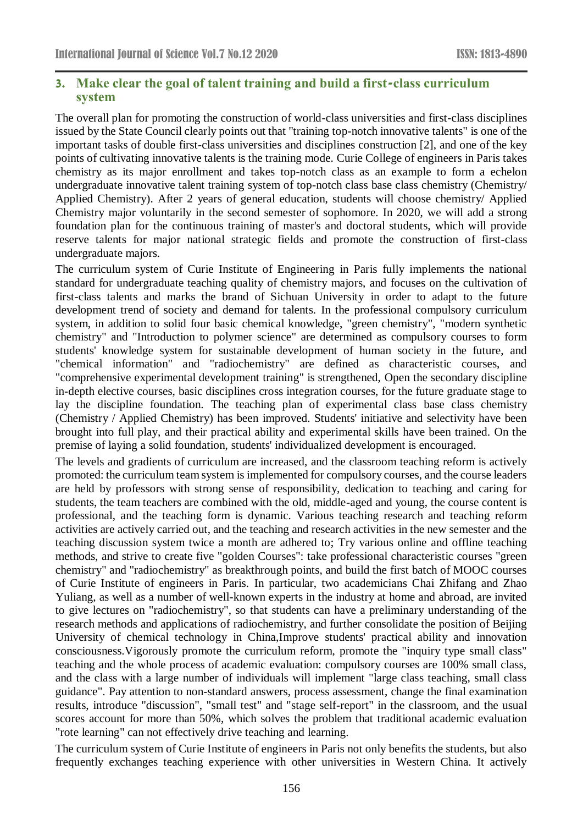# **3. Make clear the goal of talent training and build a first-class curriculum system**

The overall plan for promoting the construction of world-class universities and first-class disciplines issued by the State Council clearly points out that "training top-notch innovative talents" is one of the important tasks of double first-class universities and disciplines construction [2], and one of the key points of cultivating innovative talents is the training mode. Curie College of engineers in Paris takes chemistry as its major enrollment and takes top-notch class as an example to form a echelon undergraduate innovative talent training system of top-notch class base class chemistry (Chemistry/ Applied Chemistry). After 2 years of general education, students will choose chemistry/ Applied Chemistry major voluntarily in the second semester of sophomore. In 2020, we will add a strong foundation plan for the continuous training of master's and doctoral students, which will provide reserve talents for major national strategic fields and promote the construction of first-class undergraduate majors.

The curriculum system of Curie Institute of Engineering in Paris fully implements the national standard for undergraduate teaching quality of chemistry majors, and focuses on the cultivation of first-class talents and marks the brand of Sichuan University in order to adapt to the future development trend of society and demand for talents. In the professional compulsory curriculum system, in addition to solid four basic chemical knowledge, "green chemistry", "modern synthetic chemistry" and "Introduction to polymer science" are determined as compulsory courses to form students' knowledge system for sustainable development of human society in the future, and "chemical information" and "radiochemistry" are defined as characteristic courses, and "comprehensive experimental development training" is strengthened, Open the secondary discipline in-depth elective courses, basic disciplines cross integration courses, for the future graduate stage to lay the discipline foundation. The teaching plan of experimental class base class chemistry (Chemistry / Applied Chemistry) has been improved. Students' initiative and selectivity have been brought into full play, and their practical ability and experimental skills have been trained. On the premise of laying a solid foundation, students' individualized development is encouraged.

The levels and gradients of curriculum are increased, and the classroom teaching reform is actively promoted: the curriculum team system is implemented for compulsory courses, and the course leaders are held by professors with strong sense of responsibility, dedication to teaching and caring for students, the team teachers are combined with the old, middle-aged and young, the course content is professional, and the teaching form is dynamic. Various teaching research and teaching reform activities are actively carried out, and the teaching and research activities in the new semester and the teaching discussion system twice a month are adhered to; Try various online and offline teaching methods, and strive to create five "golden Courses": take professional characteristic courses "green chemistry" and "radiochemistry" as breakthrough points, and build the first batch of MOOC courses of Curie Institute of engineers in Paris. In particular, two academicians Chai Zhifang and Zhao Yuliang, as well as a number of well-known experts in the industry at home and abroad, are invited to give lectures on "radiochemistry", so that students can have a preliminary understanding of the research methods and applications of radiochemistry, and further consolidate the position of Beijing University of chemical technology in China,Improve students' practical ability and innovation consciousness.Vigorously promote the curriculum reform, promote the "inquiry type small class" teaching and the whole process of academic evaluation: compulsory courses are 100% small class, and the class with a large number of individuals will implement "large class teaching, small class guidance". Pay attention to non-standard answers, process assessment, change the final examination results, introduce "discussion", "small test" and "stage self-report" in the classroom, and the usual scores account for more than 50%, which solves the problem that traditional academic evaluation "rote learning" can not effectively drive teaching and learning.

The curriculum system of Curie Institute of engineers in Paris not only benefits the students, but also frequently exchanges teaching experience with other universities in Western China. It actively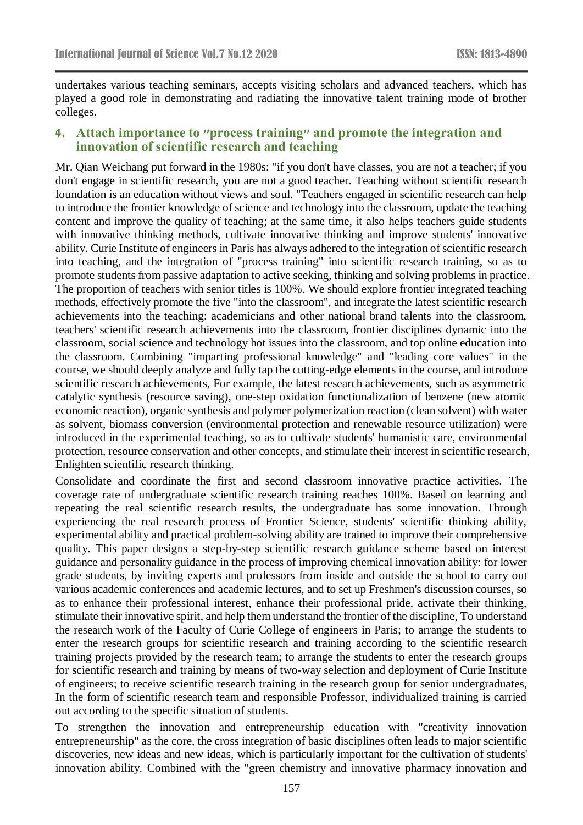undertakes various teaching seminars, accepts visiting scholars and advanced teachers, which has played a good role in demonstrating and radiating the innovative talent training mode of brother colleges.

### **4. Attach importance to "process training" and promote the integration and innovation of scientific research and teaching**

Mr. Qian Weichang put forward in the 1980s: "if you don't have classes, you are not a teacher; if you don't engage in scientific research, you are not a good teacher. Teaching without scientific research foundation is an education without views and soul. "Teachers engaged in scientific research can help to introduce the frontier knowledge of science and technology into the classroom, update the teaching content and improve the quality of teaching; at the same time, it also helps teachers guide students with innovative thinking methods, cultivate innovative thinking and improve students' innovative ability. Curie Institute of engineers in Paris has always adhered to the integration of scientific research into teaching, and the integration of "process training" into scientific research training, so as to promote students from passive adaptation to active seeking, thinking and solving problems in practice. The proportion of teachers with senior titles is 100%. We should explore frontier integrated teaching methods, effectively promote the five "into the classroom", and integrate the latest scientific research achievements into the teaching: academicians and other national brand talents into the classroom, teachers' scientific research achievements into the classroom, frontier disciplines dynamic into the classroom, social science and technology hot issues into the classroom, and top online education into the classroom. Combining "imparting professional knowledge" and "leading core values" in the course, we should deeply analyze and fully tap the cutting-edge elements in the course, and introduce scientific research achievements, For example, the latest research achievements, such as asymmetric catalytic synthesis (resource saving), one-step oxidation functionalization of benzene (new atomic economic reaction), organic synthesis and polymer polymerization reaction (clean solvent) with water as solvent, biomass conversion (environmental protection and renewable resource utilization) were introduced in the experimental teaching, so as to cultivate students' humanistic care, environmental protection, resource conservation and other concepts, and stimulate their interest in scientific research, Enlighten scientific research thinking.

Consolidate and coordinate the first and second classroom innovative practice activities. The coverage rate of undergraduate scientific research training reaches 100%. Based on learning and repeating the real scientific research results, the undergraduate has some innovation. Through experiencing the real research process of Frontier Science, students' scientific thinking ability, experimental ability and practical problem-solving ability are trained to improve their comprehensive quality. This paper designs a step-by-step scientific research guidance scheme based on interest guidance and personality guidance in the process of improving chemical innovation ability: for lower grade students, by inviting experts and professors from inside and outside the school to carry out various academic conferences and academic lectures, and to set up Freshmen's discussion courses, so as to enhance their professional interest, enhance their professional pride, activate their thinking, stimulate their innovative spirit, and help them understand the frontier of the discipline, To understand the research work of the Faculty of Curie College of engineers in Paris; to arrange the students to enter the research groups for scientific research and training according to the scientific research training projects provided by the research team; to arrange the students to enter the research groups for scientific research and training by means of two-way selection and deployment of Curie Institute of engineers; to receive scientific research training in the research group for senior undergraduates, In the form of scientific research team and responsible Professor, individualized training is carried out according to the specific situation of students.

To strengthen the innovation and entrepreneurship education with "creativity innovation entrepreneurship" as the core, the cross integration of basic disciplines often leads to major scientific discoveries, new ideas and new ideas, which is particularly important for the cultivation of students' innovation ability. Combined with the "green chemistry and innovative pharmacy innovation and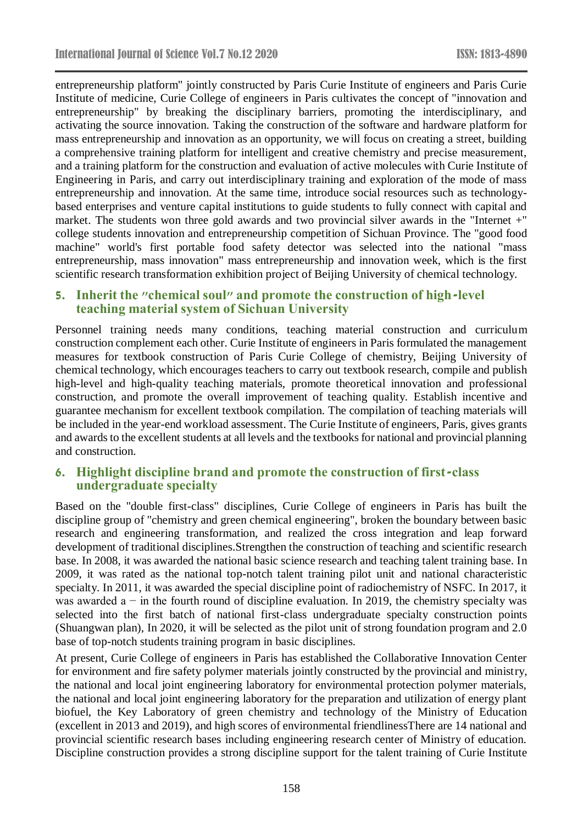entrepreneurship platform" jointly constructed by Paris Curie Institute of engineers and Paris Curie Institute of medicine, Curie College of engineers in Paris cultivates the concept of "innovation and entrepreneurship" by breaking the disciplinary barriers, promoting the interdisciplinary, and activating the source innovation. Taking the construction of the software and hardware platform for mass entrepreneurship and innovation as an opportunity, we will focus on creating a street, building a comprehensive training platform for intelligent and creative chemistry and precise measurement, and a training platform for the construction and evaluation of active molecules with Curie Institute of Engineering in Paris, and carry out interdisciplinary training and exploration of the mode of mass entrepreneurship and innovation. At the same time, introduce social resources such as technologybased enterprises and venture capital institutions to guide students to fully connect with capital and market. The students won three gold awards and two provincial silver awards in the "Internet +" college students innovation and entrepreneurship competition of Sichuan Province. The "good food machine" world's first portable food safety detector was selected into the national "mass entrepreneurship, mass innovation" mass entrepreneurship and innovation week, which is the first scientific research transformation exhibition project of Beijing University of chemical technology.

### **5. Inherit the "chemical soul" and promote the construction of high-level teaching material system of Sichuan University**

Personnel training needs many conditions, teaching material construction and curriculum construction complement each other. Curie Institute of engineers in Paris formulated the management measures for textbook construction of Paris Curie College of chemistry, Beijing University of chemical technology, which encourages teachers to carry out textbook research, compile and publish high-level and high-quality teaching materials, promote theoretical innovation and professional construction, and promote the overall improvement of teaching quality. Establish incentive and guarantee mechanism for excellent textbook compilation. The compilation of teaching materials will be included in the year-end workload assessment. The Curie Institute of engineers, Paris, gives grants and awards to the excellent students at all levels and the textbooks for national and provincial planning and construction.

# **6. Highlight discipline brand and promote the construction of first-class undergraduate specialty**

Based on the "double first-class" disciplines, Curie College of engineers in Paris has built the discipline group of "chemistry and green chemical engineering", broken the boundary between basic research and engineering transformation, and realized the cross integration and leap forward development of traditional disciplines.Strengthen the construction of teaching and scientific research base. In 2008, it was awarded the national basic science research and teaching talent training base. In 2009, it was rated as the national top-notch talent training pilot unit and national characteristic specialty. In 2011, it was awarded the special discipline point of radiochemistry of NSFC. In 2017, it was awarded a  $-$  in the fourth round of discipline evaluation. In 2019, the chemistry specialty was selected into the first batch of national first-class undergraduate specialty construction points (Shuangwan plan), In 2020, it will be selected as the pilot unit of strong foundation program and 2.0 base of top-notch students training program in basic disciplines.

At present, Curie College of engineers in Paris has established the Collaborative Innovation Center for environment and fire safety polymer materials jointly constructed by the provincial and ministry, the national and local joint engineering laboratory for environmental protection polymer materials, the national and local joint engineering laboratory for the preparation and utilization of energy plant biofuel, the Key Laboratory of green chemistry and technology of the Ministry of Education (excellent in 2013 and 2019), and high scores of environmental friendlinessThere are 14 national and provincial scientific research bases including engineering research center of Ministry of education. Discipline construction provides a strong discipline support for the talent training of Curie Institute